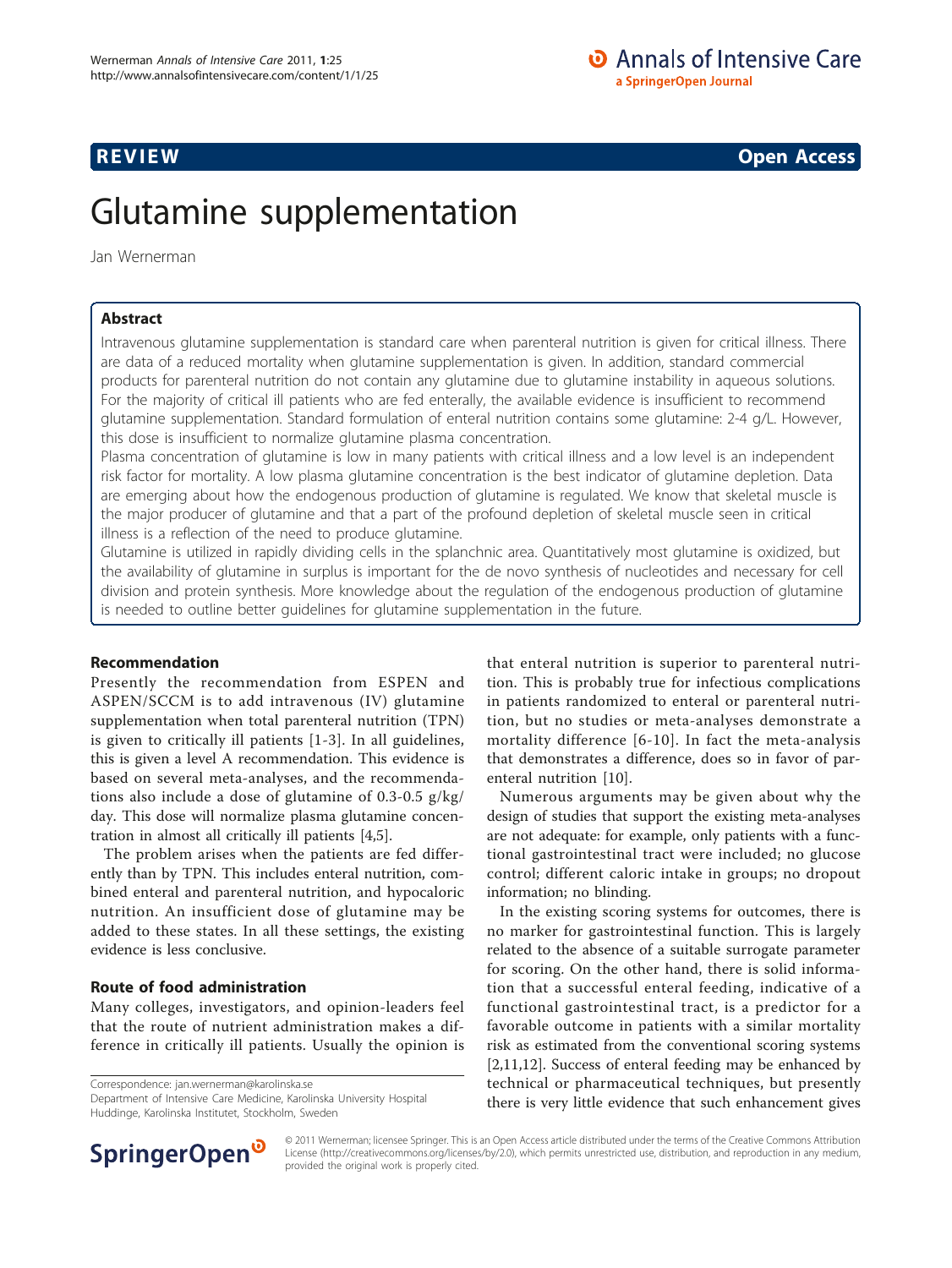**REVIEW REVIEW CONSTRUCTER CONSTRUCTION** 

# Glutamine supplementation

Jan Wernerman

# Abstract

Intravenous glutamine supplementation is standard care when parenteral nutrition is given for critical illness. There are data of a reduced mortality when glutamine supplementation is given. In addition, standard commercial products for parenteral nutrition do not contain any glutamine due to glutamine instability in aqueous solutions. For the majority of critical ill patients who are fed enterally, the available evidence is insufficient to recommend glutamine supplementation. Standard formulation of enteral nutrition contains some glutamine: 2-4 g/L. However, this dose is insufficient to normalize glutamine plasma concentration.

Plasma concentration of glutamine is low in many patients with critical illness and a low level is an independent risk factor for mortality. A low plasma glutamine concentration is the best indicator of glutamine depletion. Data are emerging about how the endogenous production of glutamine is regulated. We know that skeletal muscle is the major producer of glutamine and that a part of the profound depletion of skeletal muscle seen in critical illness is a reflection of the need to produce glutamine.

Glutamine is utilized in rapidly dividing cells in the splanchnic area. Quantitatively most glutamine is oxidized, but the availability of glutamine in surplus is important for the de novo synthesis of nucleotides and necessary for cell division and protein synthesis. More knowledge about the regulation of the endogenous production of glutamine is needed to outline better guidelines for glutamine supplementation in the future.

# Recommendation

Presently the recommendation from ESPEN and ASPEN/SCCM is to add intravenous (IV) glutamine supplementation when total parenteral nutrition (TPN) is given to critically ill patients [[1-3\]](#page-3-0). In all guidelines, this is given a level A recommendation. This evidence is based on several meta-analyses, and the recommendations also include a dose of glutamine of 0.3-0.5 g/kg/ day. This dose will normalize plasma glutamine concentration in almost all critically ill patients [\[4,5](#page-4-0)].

The problem arises when the patients are fed differently than by TPN. This includes enteral nutrition, combined enteral and parenteral nutrition, and hypocaloric nutrition. An insufficient dose of glutamine may be added to these states. In all these settings, the existing evidence is less conclusive.

# Route of food administration

Many colleges, investigators, and opinion-leaders feel that the route of nutrient administration makes a difference in critically ill patients. Usually the opinion is

Correspondence: [jan.wernerman@karolinska.se](mailto:jan.wernerman@karolinska.se)

Department of Intensive Care Medicine, Karolinska University Hospital Huddinge, Karolinska Institutet, Stockholm, Sweden



Numerous arguments may be given about why the design of studies that support the existing meta-analyses are not adequate: for example, only patients with a functional gastrointestinal tract were included; no glucose control; different caloric intake in groups; no dropout information; no blinding.

In the existing scoring systems for outcomes, there is no marker for gastrointestinal function. This is largely related to the absence of a suitable surrogate parameter for scoring. On the other hand, there is solid information that a successful enteral feeding, indicative of a functional gastrointestinal tract, is a predictor for a favorable outcome in patients with a similar mortality risk as estimated from the conventional scoring systems [[2,](#page-3-0)[11,12\]](#page-4-0). Success of enteral feeding may be enhanced by technical or pharmaceutical techniques, but presently there is very little evidence that such enhancement gives



© 2011 Wernerman; licensee Springer. This is an Open Access article distributed under the terms of the Creative Commons Attribution License [\(http://creativecommons.org/licenses/by/2.0](http://creativecommons.org/licenses/by/2.0)), which permits unrestricted use, distribution, and reproduction in any medium, provided the original work is properly cited.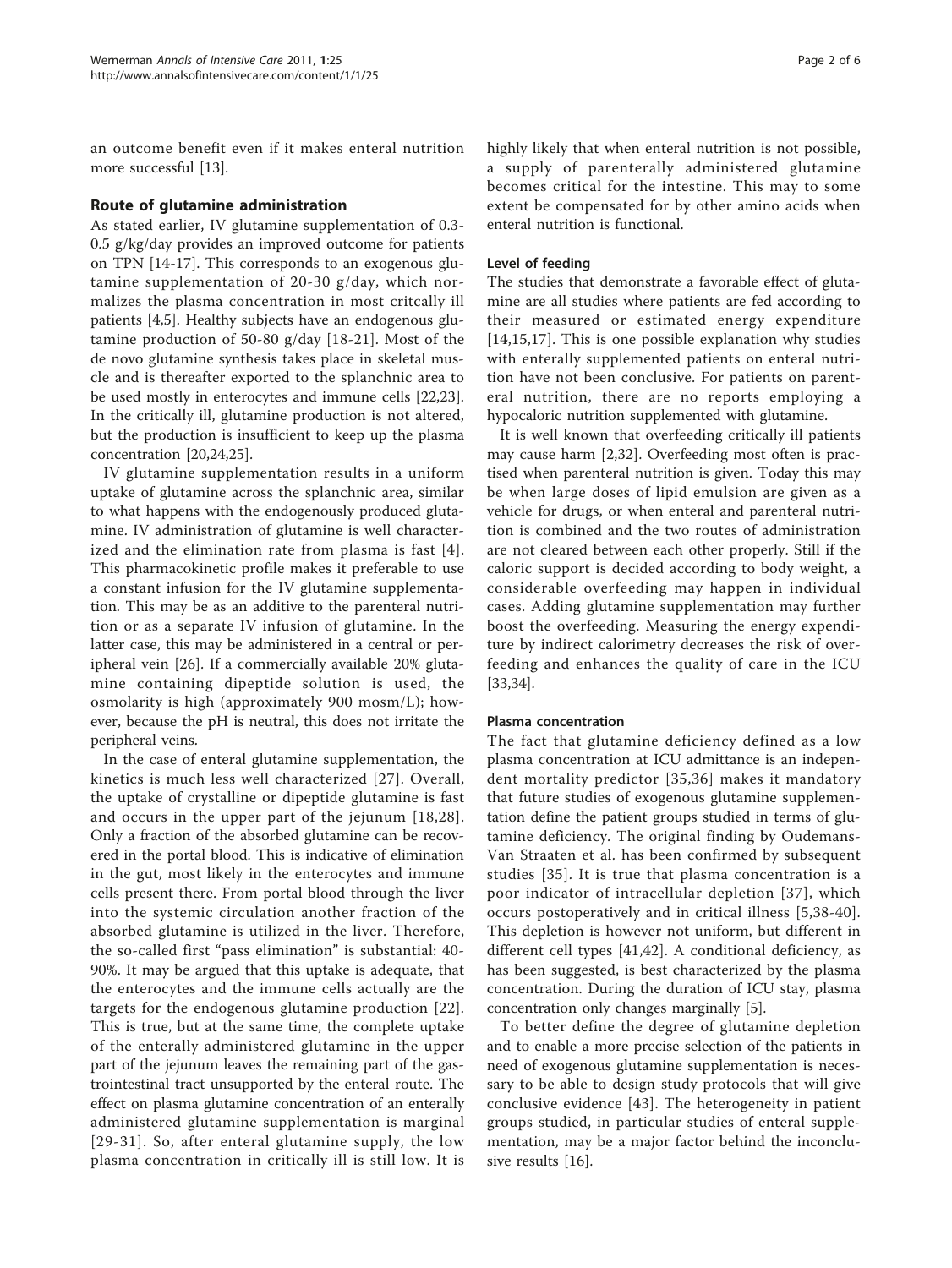an outcome benefit even if it makes enteral nutrition more successful [[13\]](#page-4-0).

# Route of glutamine administration

As stated earlier, IV glutamine supplementation of 0.3- 0.5 g/kg/day provides an improved outcome for patients on TPN [[14](#page-4-0)-[17\]](#page-4-0). This corresponds to an exogenous glutamine supplementation of 20-30 g/day, which normalizes the plasma concentration in most critcally ill patients [\[4,5](#page-4-0)]. Healthy subjects have an endogenous glutamine production of 50-80 g/day [[18-21\]](#page-4-0). Most of the de novo glutamine synthesis takes place in skeletal muscle and is thereafter exported to the splanchnic area to be used mostly in enterocytes and immune cells [\[22,23](#page-4-0)]. In the critically ill, glutamine production is not altered, but the production is insufficient to keep up the plasma concentration [\[20,24,25\]](#page-4-0).

IV glutamine supplementation results in a uniform uptake of glutamine across the splanchnic area, similar to what happens with the endogenously produced glutamine. IV administration of glutamine is well characterized and the elimination rate from plasma is fast [[4\]](#page-4-0). This pharmacokinetic profile makes it preferable to use a constant infusion for the IV glutamine supplementation. This may be as an additive to the parenteral nutrition or as a separate IV infusion of glutamine. In the latter case, this may be administered in a central or peripheral vein [\[26](#page-4-0)]. If a commercially available 20% glutamine containing dipeptide solution is used, the osmolarity is high (approximately 900 mosm/L); however, because the pH is neutral, this does not irritate the peripheral veins.

In the case of enteral glutamine supplementation, the kinetics is much less well characterized [[27](#page-4-0)]. Overall, the uptake of crystalline or dipeptide glutamine is fast and occurs in the upper part of the jejunum [[18,28\]](#page-4-0). Only a fraction of the absorbed glutamine can be recovered in the portal blood. This is indicative of elimination in the gut, most likely in the enterocytes and immune cells present there. From portal blood through the liver into the systemic circulation another fraction of the absorbed glutamine is utilized in the liver. Therefore, the so-called first "pass elimination" is substantial: 40- 90%. It may be argued that this uptake is adequate, that the enterocytes and the immune cells actually are the targets for the endogenous glutamine production [[22](#page-4-0)]. This is true, but at the same time, the complete uptake of the enterally administered glutamine in the upper part of the jejunum leaves the remaining part of the gastrointestinal tract unsupported by the enteral route. The effect on plasma glutamine concentration of an enterally administered glutamine supplementation is marginal [[29](#page-4-0)-[31\]](#page-4-0). So, after enteral glutamine supply, the low plasma concentration in critically ill is still low. It is highly likely that when enteral nutrition is not possible, a supply of parenterally administered glutamine becomes critical for the intestine. This may to some extent be compensated for by other amino acids when enteral nutrition is functional.

# Level of feeding

The studies that demonstrate a favorable effect of glutamine are all studies where patients are fed according to their measured or estimated energy expenditure [[14,15,17](#page-4-0)]. This is one possible explanation why studies with enterally supplemented patients on enteral nutrition have not been conclusive. For patients on parenteral nutrition, there are no reports employing a hypocaloric nutrition supplemented with glutamine.

It is well known that overfeeding critically ill patients may cause harm [\[2](#page-3-0),[32](#page-4-0)]. Overfeeding most often is practised when parenteral nutrition is given. Today this may be when large doses of lipid emulsion are given as a vehicle for drugs, or when enteral and parenteral nutrition is combined and the two routes of administration are not cleared between each other properly. Still if the caloric support is decided according to body weight, a considerable overfeeding may happen in individual cases. Adding glutamine supplementation may further boost the overfeeding. Measuring the energy expenditure by indirect calorimetry decreases the risk of overfeeding and enhances the quality of care in the ICU [[33,34\]](#page-4-0).

### Plasma concentration

The fact that glutamine deficiency defined as a low plasma concentration at ICU admittance is an independent mortality predictor [[35](#page-4-0),[36](#page-4-0)] makes it mandatory that future studies of exogenous glutamine supplementation define the patient groups studied in terms of glutamine deficiency. The original finding by Oudemans-Van Straaten et al. has been confirmed by subsequent studies [[35\]](#page-4-0). It is true that plasma concentration is a poor indicator of intracellular depletion [[37\]](#page-4-0), which occurs postoperatively and in critical illness [\[5,38](#page-4-0)-[40](#page-4-0)]. This depletion is however not uniform, but different in different cell types [[41,42](#page-4-0)]. A conditional deficiency, as has been suggested, is best characterized by the plasma concentration. During the duration of ICU stay, plasma concentration only changes marginally [\[5](#page-4-0)].

To better define the degree of glutamine depletion and to enable a more precise selection of the patients in need of exogenous glutamine supplementation is necessary to be able to design study protocols that will give conclusive evidence [\[43\]](#page-4-0). The heterogeneity in patient groups studied, in particular studies of enteral supplementation, may be a major factor behind the inconclusive results [\[16\]](#page-4-0).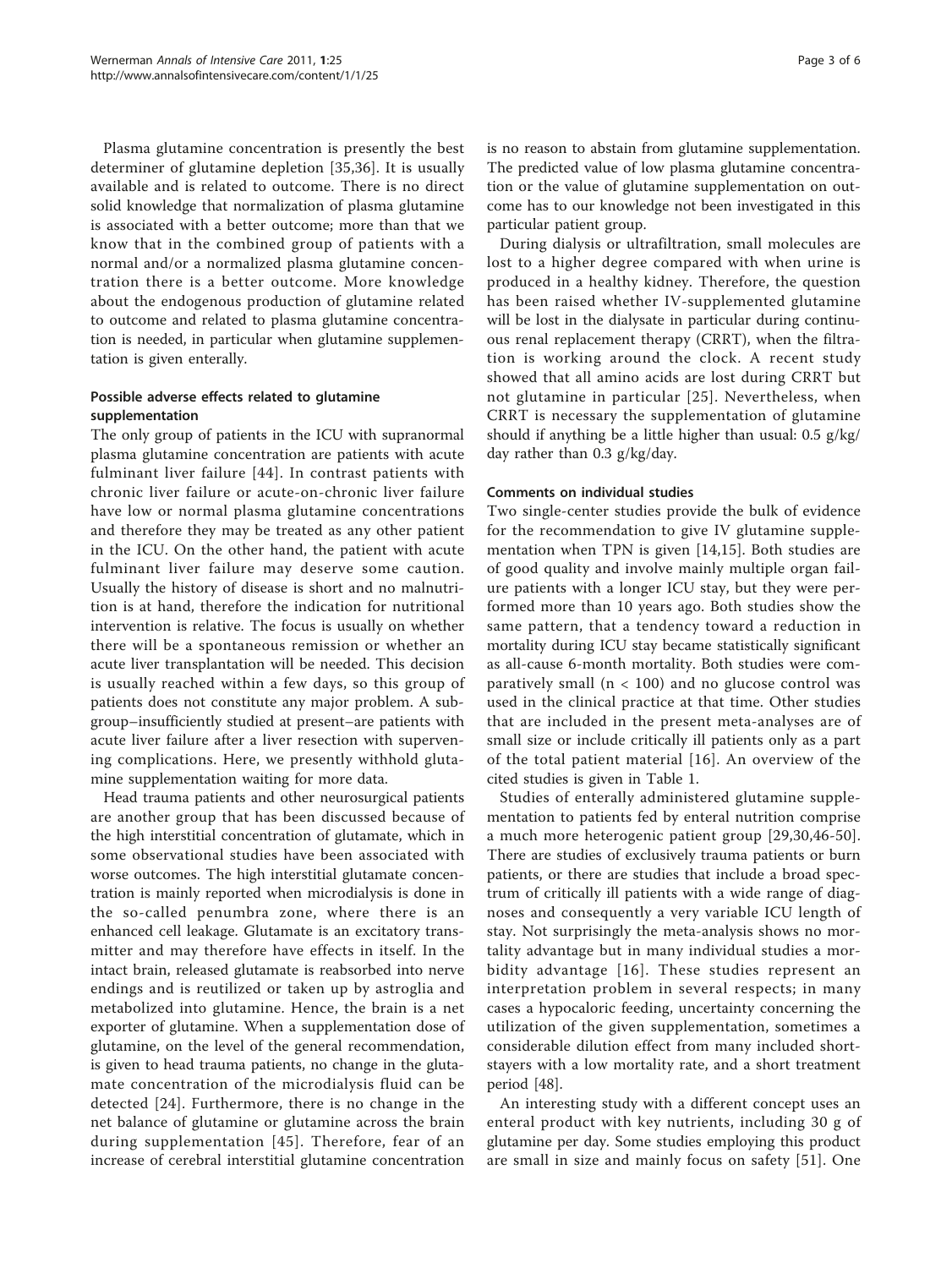Plasma glutamine concentration is presently the best determiner of glutamine depletion [[35,36](#page-4-0)]. It is usually available and is related to outcome. There is no direct solid knowledge that normalization of plasma glutamine is associated with a better outcome; more than that we know that in the combined group of patients with a normal and/or a normalized plasma glutamine concentration there is a better outcome. More knowledge about the endogenous production of glutamine related to outcome and related to plasma glutamine concentration is needed, in particular when glutamine supplementation is given enterally.

# Possible adverse effects related to glutamine supplementation

The only group of patients in the ICU with supranormal plasma glutamine concentration are patients with acute fulminant liver failure [[44\]](#page-4-0). In contrast patients with chronic liver failure or acute-on-chronic liver failure have low or normal plasma glutamine concentrations and therefore they may be treated as any other patient in the ICU. On the other hand, the patient with acute fulminant liver failure may deserve some caution. Usually the history of disease is short and no malnutrition is at hand, therefore the indication for nutritional intervention is relative. The focus is usually on whether there will be a spontaneous remission or whether an acute liver transplantation will be needed. This decision is usually reached within a few days, so this group of patients does not constitute any major problem. A subgroup–insufficiently studied at present–are patients with acute liver failure after a liver resection with supervening complications. Here, we presently withhold glutamine supplementation waiting for more data.

Head trauma patients and other neurosurgical patients are another group that has been discussed because of the high interstitial concentration of glutamate, which in some observational studies have been associated with worse outcomes. The high interstitial glutamate concentration is mainly reported when microdialysis is done in the so-called penumbra zone, where there is an enhanced cell leakage. Glutamate is an excitatory transmitter and may therefore have effects in itself. In the intact brain, released glutamate is reabsorbed into nerve endings and is reutilized or taken up by astroglia and metabolized into glutamine. Hence, the brain is a net exporter of glutamine. When a supplementation dose of glutamine, on the level of the general recommendation, is given to head trauma patients, no change in the glutamate concentration of the microdialysis fluid can be detected [[24](#page-4-0)]. Furthermore, there is no change in the net balance of glutamine or glutamine across the brain during supplementation [\[45](#page-4-0)]. Therefore, fear of an increase of cerebral interstitial glutamine concentration is no reason to abstain from glutamine supplementation. The predicted value of low plasma glutamine concentration or the value of glutamine supplementation on outcome has to our knowledge not been investigated in this particular patient group.

During dialysis or ultrafiltration, small molecules are lost to a higher degree compared with when urine is produced in a healthy kidney. Therefore, the question has been raised whether IV-supplemented glutamine will be lost in the dialysate in particular during continuous renal replacement therapy (CRRT), when the filtration is working around the clock. A recent study showed that all amino acids are lost during CRRT but not glutamine in particular [[25\]](#page-4-0). Nevertheless, when CRRT is necessary the supplementation of glutamine should if anything be a little higher than usual: 0.5 g/kg/ day rather than 0.3 g/kg/day.

# Comments on individual studies

Two single-center studies provide the bulk of evidence for the recommendation to give IV glutamine supplementation when TPN is given [[14,15](#page-4-0)]. Both studies are of good quality and involve mainly multiple organ failure patients with a longer ICU stay, but they were performed more than 10 years ago. Both studies show the same pattern, that a tendency toward a reduction in mortality during ICU stay became statistically significant as all-cause 6-month mortality. Both studies were comparatively small ( $n < 100$ ) and no glucose control was used in the clinical practice at that time. Other studies that are included in the present meta-analyses are of small size or include critically ill patients only as a part of the total patient material [[16\]](#page-4-0). An overview of the cited studies is given in Table [1](#page-3-0).

Studies of enterally administered glutamine supplementation to patients fed by enteral nutrition comprise a much more heterogenic patient group [[29,30,46](#page-4-0)-[50](#page-5-0)]. There are studies of exclusively trauma patients or burn patients, or there are studies that include a broad spectrum of critically ill patients with a wide range of diagnoses and consequently a very variable ICU length of stay. Not surprisingly the meta-analysis shows no mortality advantage but in many individual studies a morbidity advantage [[16](#page-4-0)]. These studies represent an interpretation problem in several respects; in many cases a hypocaloric feeding, uncertainty concerning the utilization of the given supplementation, sometimes a considerable dilution effect from many included shortstayers with a low mortality rate, and a short treatment period [\[48\]](#page-5-0).

An interesting study with a different concept uses an enteral product with key nutrients, including 30 g of glutamine per day. Some studies employing this product are small in size and mainly focus on safety [\[51](#page-5-0)]. One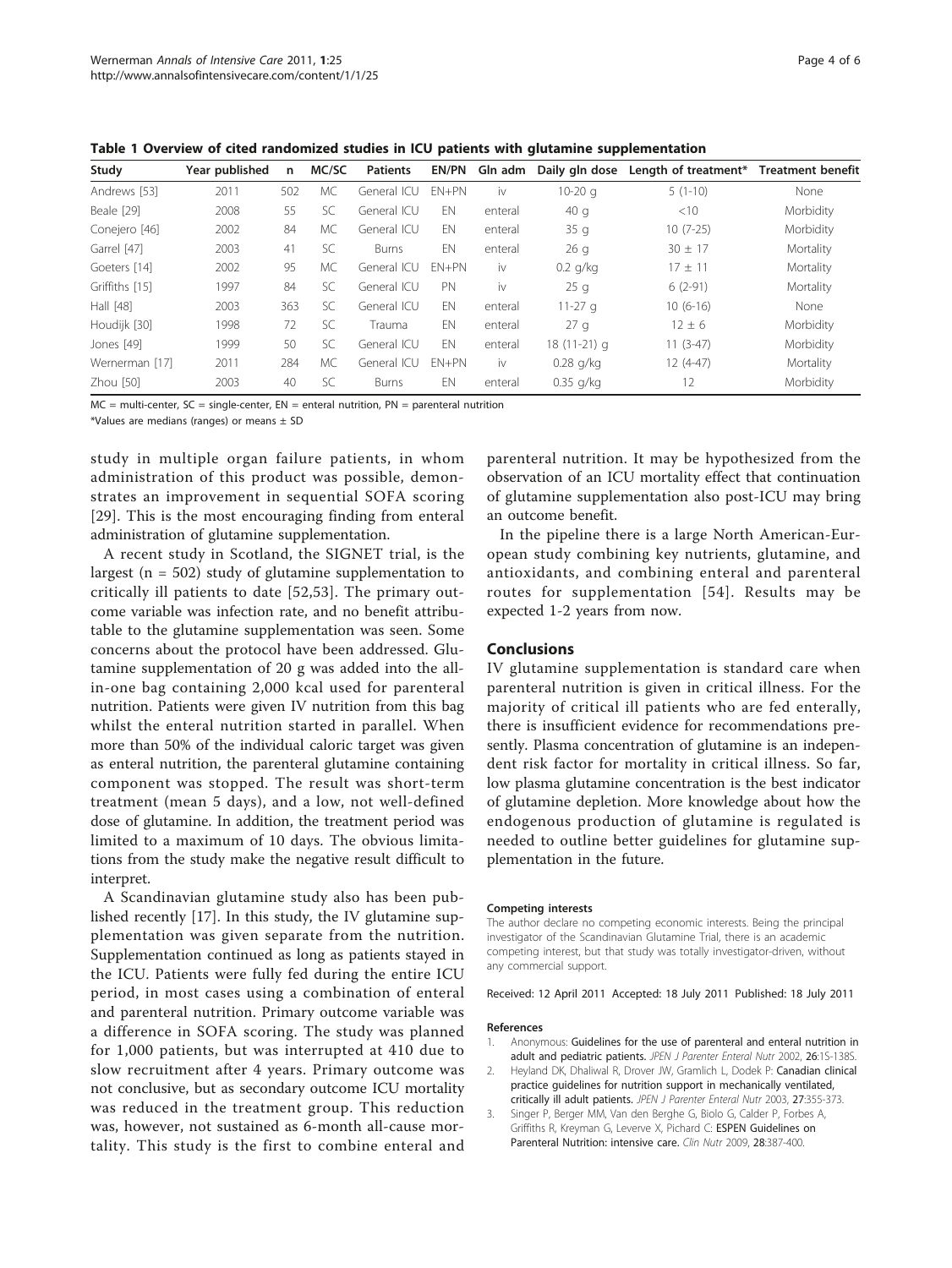<span id="page-3-0"></span>Table 1 Overview of cited randomized studies in ICU patients with glutamine supplementation

| Study          | Year published | n   | <b>MC/SC</b> | <b>Patients</b> | EN/PN     | Gln adm |              | Daily gln dose Length of treatment* Treatment benefit |           |
|----------------|----------------|-----|--------------|-----------------|-----------|---------|--------------|-------------------------------------------------------|-----------|
| Andrews [53]   | 2011           | 502 | МC           | General ICU     | $FN+PN$   | iv      | $10-20$ q    | $5(1-10)$                                             | None      |
| Beale [29]     | 2008           | 55  | SC           | General ICU     | <b>FN</b> | enteral | 40q          | <10                                                   | Morbidity |
| Conejero [46]  | 2002           | 84  | МC           | General ICU     | <b>FN</b> | enteral | 35q          | $10(7-25)$                                            | Morbidity |
| Garrel [47]    | 2003           | 41  | SC.          | <b>Burns</b>    | EN        | enteral | 26 g         | $30 \pm 17$                                           | Mortality |
| Goeters [14]   | 2002           | 95  | МC           | General ICU     | $FN+PN$   | iv      | $0.2$ g/kg   | $17 \pm 11$                                           | Mortality |
| Griffiths [15] | 1997           | 84  | SC           | General ICU     | PN        | iv      | 25q          | $6(2-91)$                                             | Mortality |
| Hall [48]      | 2003           | 363 | SC           | General ICU     | EN        | enteral | 11-27 $q$    | $10(6-16)$                                            | None      |
| Houdijk [30]   | 1998           | 72  | SC.          | Trauma          | EN        | enteral | 27q          | $12 \pm 6$                                            | Morbidity |
| Jones [49]     | 1999           | 50  | SC           | General ICU     | EN        | enteral | 18 (11-21) g | $11(3-47)$                                            | Morbidity |
| Wernerman [17] | 2011           | 284 | MC.          | General ICU     | $EN+PN$   | iv      | $0.28$ g/kg  | 12 (4-47)                                             | Mortality |
| Zhou [50]      | 2003           | 40  | SC           | <b>Burns</b>    | EN        | enteral | $0.35$ g/kg  | 12                                                    | Morbidity |

 $MC =$  multi-center,  $SC =$  single-center,  $EN =$  enteral nutrition,  $PN =$  parenteral nutrition

\*Values are medians (ranges) or means  $\pm$  SD

study in multiple organ failure patients, in whom administration of this product was possible, demonstrates an improvement in sequential SOFA scoring [[29\]](#page-4-0). This is the most encouraging finding from enteral administration of glutamine supplementation.

A recent study in Scotland, the SIGNET trial, is the largest ( $n = 502$ ) study of glutamine supplementation to critically ill patients to date [[52](#page-5-0),[53](#page-5-0)]. The primary outcome variable was infection rate, and no benefit attributable to the glutamine supplementation was seen. Some concerns about the protocol have been addressed. Glutamine supplementation of 20 g was added into the allin-one bag containing 2,000 kcal used for parenteral nutrition. Patients were given IV nutrition from this bag whilst the enteral nutrition started in parallel. When more than 50% of the individual caloric target was given as enteral nutrition, the parenteral glutamine containing component was stopped. The result was short-term treatment (mean 5 days), and a low, not well-defined dose of glutamine. In addition, the treatment period was limited to a maximum of 10 days. The obvious limitations from the study make the negative result difficult to interpret.

A Scandinavian glutamine study also has been published recently [[17\]](#page-4-0). In this study, the IV glutamine supplementation was given separate from the nutrition. Supplementation continued as long as patients stayed in the ICU. Patients were fully fed during the entire ICU period, in most cases using a combination of enteral and parenteral nutrition. Primary outcome variable was a difference in SOFA scoring. The study was planned for 1,000 patients, but was interrupted at 410 due to slow recruitment after 4 years. Primary outcome was not conclusive, but as secondary outcome ICU mortality was reduced in the treatment group. This reduction was, however, not sustained as 6-month all-cause mortality. This study is the first to combine enteral and

parenteral nutrition. It may be hypothesized from the observation of an ICU mortality effect that continuation of glutamine supplementation also post-ICU may bring an outcome benefit.

In the pipeline there is a large North American-European study combining key nutrients, glutamine, and antioxidants, and combining enteral and parenteral routes for supplementation [[54\]](#page-5-0). Results may be expected 1-2 years from now.

### **Conclusions**

IV glutamine supplementation is standard care when parenteral nutrition is given in critical illness. For the majority of critical ill patients who are fed enterally, there is insufficient evidence for recommendations presently. Plasma concentration of glutamine is an independent risk factor for mortality in critical illness. So far, low plasma glutamine concentration is the best indicator of glutamine depletion. More knowledge about how the endogenous production of glutamine is regulated is needed to outline better guidelines for glutamine supplementation in the future.

#### Competing interests

The author declare no competing economic interests. Being the principal investigator of the Scandinavian Glutamine Trial, there is an academic competing interest, but that study was totally investigator-driven, without any commercial support.

Received: 12 April 2011 Accepted: 18 July 2011 Published: 18 July 2011

#### References

- Anonymous: Guidelines for the use of parenteral and enteral nutrition in adult and pediatric patients. JPEN J Parenter Enteral Nutr 2002, 26:1S-138S.
- Heyland DK, Dhaliwal R, Drover JW, Gramlich L, Dodek P: [Canadian clinical](http://www.ncbi.nlm.nih.gov/pubmed/12971736?dopt=Abstract) [practice guidelines for nutrition support in mechanically ventilated,](http://www.ncbi.nlm.nih.gov/pubmed/12971736?dopt=Abstract) [critically ill adult patients.](http://www.ncbi.nlm.nih.gov/pubmed/12971736?dopt=Abstract) JPEN J Parenter Enteral Nutr 2003, 27:355-373.
- 3. Singer P, Berger MM, Van den Berghe G, Biolo G, Calder P, Forbes A, Griffiths R, Kreyman G, Leverve X, Pichard C: [ESPEN Guidelines on](http://www.ncbi.nlm.nih.gov/pubmed/19505748?dopt=Abstract) [Parenteral Nutrition: intensive care.](http://www.ncbi.nlm.nih.gov/pubmed/19505748?dopt=Abstract) Clin Nutr 2009, 28:387-400.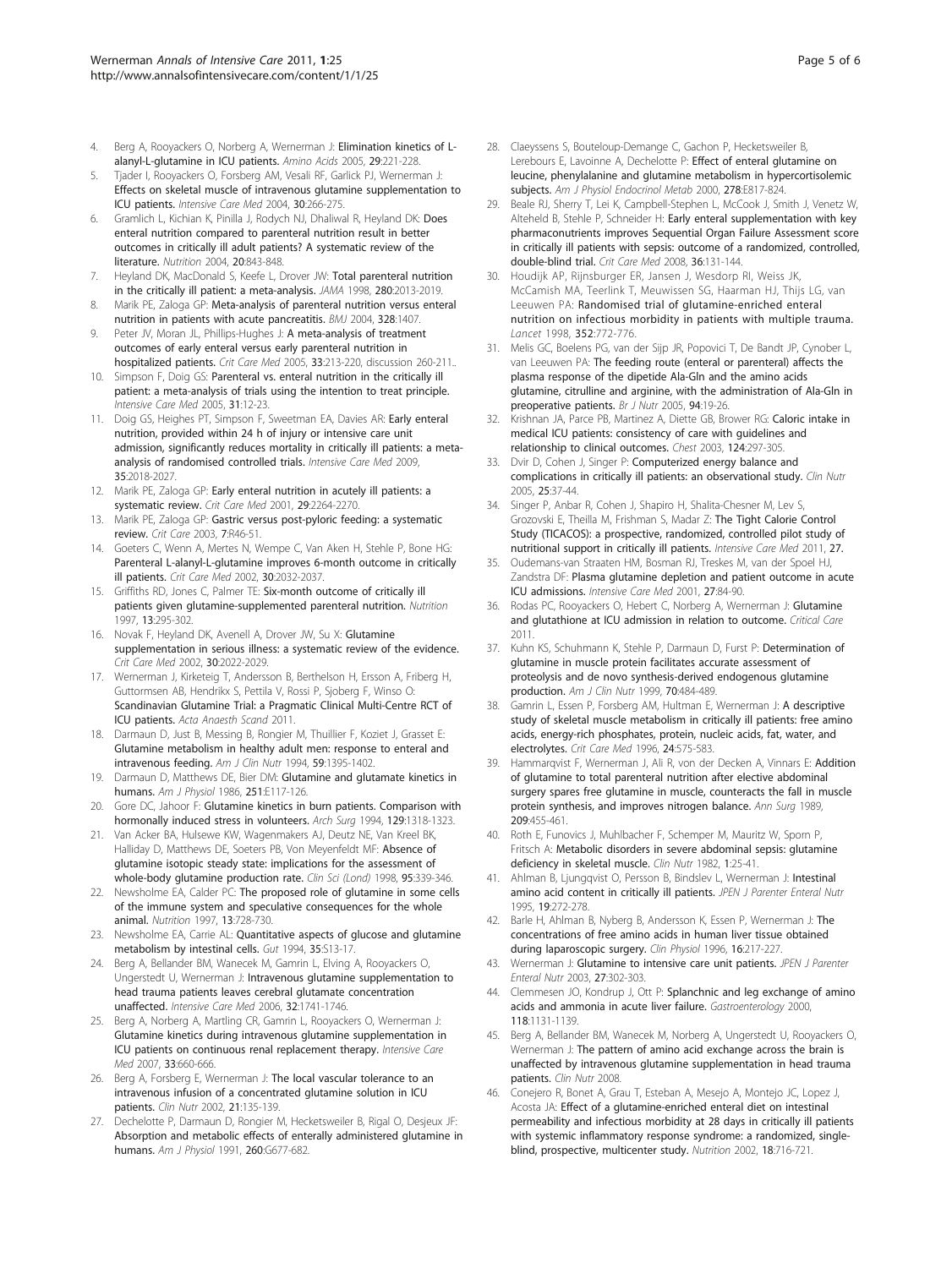- <span id="page-4-0"></span>4. Berg A, Rooyackers O, Norberg A, Wernerman J: [Elimination kinetics of L](http://www.ncbi.nlm.nih.gov/pubmed/16049639?dopt=Abstract)[alanyl-L-glutamine in ICU patients.](http://www.ncbi.nlm.nih.gov/pubmed/16049639?dopt=Abstract) Amino Acids 2005, 29:221-228.
- Tjader I, Rooyackers O, Forsberg AM, Vesali RF, Garlick PJ, Wernerman J: [Effects on skeletal muscle of intravenous glutamine supplementation to](http://www.ncbi.nlm.nih.gov/pubmed/14722645?dopt=Abstract) [ICU patients.](http://www.ncbi.nlm.nih.gov/pubmed/14722645?dopt=Abstract) Intensive Care Med 2004, 30:266-275.
- Gramlich L, Kichian K, Pinilla J, Rodych NJ, Dhaliwal R, Heyland DK: [Does](http://www.ncbi.nlm.nih.gov/pubmed/15474870?dopt=Abstract) [enteral nutrition compared to parenteral nutrition result in better](http://www.ncbi.nlm.nih.gov/pubmed/15474870?dopt=Abstract) [outcomes in critically ill adult patients? A systematic review of the](http://www.ncbi.nlm.nih.gov/pubmed/15474870?dopt=Abstract) [literature.](http://www.ncbi.nlm.nih.gov/pubmed/15474870?dopt=Abstract) Nutrition 2004, 20:843-848.
- 7. Heyland DK, MacDonald S, Keefe L, Drover JW: [Total parenteral nutrition](http://www.ncbi.nlm.nih.gov/pubmed/9863853?dopt=Abstract) [in the critically ill patient: a meta-analysis.](http://www.ncbi.nlm.nih.gov/pubmed/9863853?dopt=Abstract) JAMA 1998, 280:2013-2019.
- 8. Marik PE, Zaloga GP: [Meta-analysis of parenteral nutrition versus enteral](http://www.ncbi.nlm.nih.gov/pubmed/15175229?dopt=Abstract) [nutrition in patients with acute pancreatitis.](http://www.ncbi.nlm.nih.gov/pubmed/15175229?dopt=Abstract) BMJ 2004, 328:1407.
- Peter JV, Moran JL, Phillips-Hughes J: [A meta-analysis of treatment](http://www.ncbi.nlm.nih.gov/pubmed/15644672?dopt=Abstract) [outcomes of early enteral versus early parenteral nutrition in](http://www.ncbi.nlm.nih.gov/pubmed/15644672?dopt=Abstract) [hospitalized patients.](http://www.ncbi.nlm.nih.gov/pubmed/15644672?dopt=Abstract) Crit Care Med 2005, 33:213-220, discussion 260-211..
- 10. Simpson F, Doig GS: [Parenteral vs. enteral nutrition in the critically ill](http://www.ncbi.nlm.nih.gov/pubmed/15592814?dopt=Abstract) [patient: a meta-analysis of trials using the intention to treat principle.](http://www.ncbi.nlm.nih.gov/pubmed/15592814?dopt=Abstract) Intensive Care Med 2005, 31:12-23.
- 11. Doig GS, Heighes PT, Simpson F, Sweetman EA, Davies AR: [Early enteral](http://www.ncbi.nlm.nih.gov/pubmed/19777207?dopt=Abstract) [nutrition, provided within 24 h of injury or intensive care unit](http://www.ncbi.nlm.nih.gov/pubmed/19777207?dopt=Abstract) [admission, significantly reduces mortality in critically ill patients: a meta](http://www.ncbi.nlm.nih.gov/pubmed/19777207?dopt=Abstract)[analysis of randomised controlled trials.](http://www.ncbi.nlm.nih.gov/pubmed/19777207?dopt=Abstract) Intensive Care Med 2009, 35:2018-2027.
- 12. Marik PE, Zaloga GP: [Early enteral nutrition in acutely ill patients: a](http://www.ncbi.nlm.nih.gov/pubmed/11801821?dopt=Abstract) [systematic review.](http://www.ncbi.nlm.nih.gov/pubmed/11801821?dopt=Abstract) Crit Care Med 2001, 29:2264-2270.
- 13. Marik PE, Zaloga GP: [Gastric versus post-pyloric feeding: a systematic](http://www.ncbi.nlm.nih.gov/pubmed/12793890?dopt=Abstract) [review.](http://www.ncbi.nlm.nih.gov/pubmed/12793890?dopt=Abstract) Crit Care 2003, 7:R46-51.
- 14. Goeters C, Wenn A, Mertes N, Wempe C, Van Aken H, Stehle P, Bone HG: [Parenteral L-alanyl-L-glutamine improves 6-month outcome in critically](http://www.ncbi.nlm.nih.gov/pubmed/12352037?dopt=Abstract) [ill patients.](http://www.ncbi.nlm.nih.gov/pubmed/12352037?dopt=Abstract) Crit Care Med 2002, 30:2032-2037.
- Griffiths RD, Jones C, Palmer TE: [Six-month outcome of critically ill](http://www.ncbi.nlm.nih.gov/pubmed/9178278?dopt=Abstract) [patients given glutamine-supplemented parenteral nutrition.](http://www.ncbi.nlm.nih.gov/pubmed/9178278?dopt=Abstract) Nutrition 1997, 13:295-302.
- 16. Novak F, Heyland DK, Avenell A, Drover JW, Su X: [Glutamine](http://www.ncbi.nlm.nih.gov/pubmed/12352035?dopt=Abstract) [supplementation in serious illness: a systematic review of the evidence.](http://www.ncbi.nlm.nih.gov/pubmed/12352035?dopt=Abstract) Crit Care Med 2002, 30:2022-2029.
- 17. Wernerman J, Kirketeig T, Andersson B, Berthelson H, Ersson A, Friberg H, Guttormsen AB, Hendrikx S, Pettila V, Rossi P, Sjoberg F, Winso O: Scandinavian Glutamine Trial: a Pragmatic Clinical Multi-Centre RCT of ICU patients. Acta Anaesth Scand 2011.
- 18. Darmaun D, Just B, Messing B, Rongier M, Thuillier F, Koziet J, Grasset E: [Glutamine metabolism in healthy adult men: response to enteral and](http://www.ncbi.nlm.nih.gov/pubmed/8198066?dopt=Abstract) [intravenous feeding.](http://www.ncbi.nlm.nih.gov/pubmed/8198066?dopt=Abstract) Am J Clin Nutr 1994, 59:1395-1402.
- 19. Darmaun D, Matthews DE, Bier DM: [Glutamine and glutamate kinetics in](http://www.ncbi.nlm.nih.gov/pubmed/2873746?dopt=Abstract) [humans.](http://www.ncbi.nlm.nih.gov/pubmed/2873746?dopt=Abstract) Am J Physiol 1986, 251:E117-126.
- 20. Gore DC, Jahoor F: [Glutamine kinetics in burn patients. Comparison with](http://www.ncbi.nlm.nih.gov/pubmed/7986163?dopt=Abstract) [hormonally induced stress in volunteers.](http://www.ncbi.nlm.nih.gov/pubmed/7986163?dopt=Abstract) Arch Sura 1994, 129:1318-1323.
- 21. Van Acker BA, Hulsewe KW, Wagenmakers AJ, Deutz NE, Van Kreel BK, Halliday D, Matthews DE, Soeters PB, Von Meyenfeldt MF: Absence of glutamine isotopic steady state: implications for the assessment of whole-body glutamine production rate. Clin Sci (Lond) 1998, 95:339-346.
- 22. Newsholme EA, Calder PC: [The proposed role of glutamine in some cells](http://www.ncbi.nlm.nih.gov/pubmed/9263277?dopt=Abstract) [of the immune system and speculative consequences for the whole](http://www.ncbi.nlm.nih.gov/pubmed/9263277?dopt=Abstract) [animal.](http://www.ncbi.nlm.nih.gov/pubmed/9263277?dopt=Abstract) Nutrition 1997, 13:728-730.
- 23. Newsholme EA, Carrie AL: [Quantitative aspects of glucose and glutamine](http://www.ncbi.nlm.nih.gov/pubmed/8125383?dopt=Abstract) [metabolism by intestinal cells.](http://www.ncbi.nlm.nih.gov/pubmed/8125383?dopt=Abstract) Gut 1994, 35:S13-17.
- 24. Berg A, Bellander BM, Wanecek M, Gamrin L, Elving A, Rooyackers O, Ungerstedt U, Wernerman J: [Intravenous glutamine supplementation to](http://www.ncbi.nlm.nih.gov/pubmed/17001467?dopt=Abstract) [head trauma patients leaves cerebral glutamate concentration](http://www.ncbi.nlm.nih.gov/pubmed/17001467?dopt=Abstract) [unaffected.](http://www.ncbi.nlm.nih.gov/pubmed/17001467?dopt=Abstract) Intensive Care Med 2006, 32:1741-1746.
- 25. Berg A, Norberg A, Martling CR, Gamrin L, Rooyackers O, Wernerman J: [Glutamine kinetics during intravenous glutamine supplementation in](http://www.ncbi.nlm.nih.gov/pubmed/17318498?dopt=Abstract) [ICU patients on continuous renal replacement therapy.](http://www.ncbi.nlm.nih.gov/pubmed/17318498?dopt=Abstract) Intensive Care Med 2007, 33:660-666.
- 26. Berg A, Forsberg E, Wernerman J: [The local vascular tolerance to an](http://www.ncbi.nlm.nih.gov/pubmed/12056785?dopt=Abstract) [intravenous infusion of a concentrated glutamine solution in ICU](http://www.ncbi.nlm.nih.gov/pubmed/12056785?dopt=Abstract) [patients.](http://www.ncbi.nlm.nih.gov/pubmed/12056785?dopt=Abstract) Clin Nutr 2002, 21:135-139.
- 27. Dechelotte P, Darmaun D, Rongier M, Hecketsweiler B, Rigal O, Desjeux JF: [Absorption and metabolic effects of enterally administered glutamine in](http://www.ncbi.nlm.nih.gov/pubmed/1903599?dopt=Abstract) [humans.](http://www.ncbi.nlm.nih.gov/pubmed/1903599?dopt=Abstract) Am J Physiol 1991, 260:G677-682.
- 28. Claeyssens S, Bouteloup-Demange C, Gachon P, Hecketsweiler B, Lerebours E, Lavoinne A, Dechelotte P: [Effect of enteral glutamine on](http://www.ncbi.nlm.nih.gov/pubmed/10780937?dopt=Abstract) [leucine, phenylalanine and glutamine metabolism in hypercortisolemic](http://www.ncbi.nlm.nih.gov/pubmed/10780937?dopt=Abstract) [subjects.](http://www.ncbi.nlm.nih.gov/pubmed/10780937?dopt=Abstract) Am J Physiol Endocrinol Metab 2000, 278:E817-824.
- 29. Beale RJ, Sherry T, Lei K, Campbell-Stephen L, McCook J, Smith J, Venetz W, Alteheld B, Stehle P, Schneider H: [Early enteral supplementation with key](http://www.ncbi.nlm.nih.gov/pubmed/18007263?dopt=Abstract) [pharmaconutrients improves Sequential Organ Failure Assessment score](http://www.ncbi.nlm.nih.gov/pubmed/18007263?dopt=Abstract) [in critically ill patients with sepsis: outcome of a randomized, controlled,](http://www.ncbi.nlm.nih.gov/pubmed/18007263?dopt=Abstract) [double-blind trial.](http://www.ncbi.nlm.nih.gov/pubmed/18007263?dopt=Abstract) Crit Care Med 2008, 36:131-144.
- 30. Houdijk AP, Rijnsburger ER, Jansen J, Wesdorp RI, Weiss JK, McCamish MA, Teerlink T, Meuwissen SG, Haarman HJ, Thijs LG, van Leeuwen PA: [Randomised trial of glutamine-enriched enteral](http://www.ncbi.nlm.nih.gov/pubmed/9737282?dopt=Abstract) [nutrition on infectious morbidity in patients with multiple trauma.](http://www.ncbi.nlm.nih.gov/pubmed/9737282?dopt=Abstract) Lancet 1998, 352:772-776.
- 31. Melis GC, Boelens PG, van der Sijp JR, Popovici T, De Bandt JP, Cynober L, van Leeuwen PA: [The feeding route \(enteral or parenteral\) affects the](http://www.ncbi.nlm.nih.gov/pubmed/16115328?dopt=Abstract) [plasma response of the dipetide Ala-Gln and the amino acids](http://www.ncbi.nlm.nih.gov/pubmed/16115328?dopt=Abstract) [glutamine, citrulline and arginine, with the administration of Ala-Gln in](http://www.ncbi.nlm.nih.gov/pubmed/16115328?dopt=Abstract) [preoperative patients.](http://www.ncbi.nlm.nih.gov/pubmed/16115328?dopt=Abstract) Br J Nutr 2005, 94:19-26.
- 32. Krishnan JA, Parce PB, Martinez A, Diette GB, Brower RG: [Caloric intake in](http://www.ncbi.nlm.nih.gov/pubmed/12853537?dopt=Abstract) medical [ICU patients: consistency of care with guidelines and](http://www.ncbi.nlm.nih.gov/pubmed/12853537?dopt=Abstract) [relationship to clinical outcomes.](http://www.ncbi.nlm.nih.gov/pubmed/12853537?dopt=Abstract) Chest 2003, 124:297-305.
- 33. Dvir D, Cohen J, Singer P: Computerized energy balance and complications in critically ill patients: an observational study. Clin Nutr 2005, 25:37-44.
- 34. Singer P, Anbar R, Cohen J, Shapiro H, Shalita-Chesner M, Lev S, Grozovski E, Theilla M, Frishman S, Madar Z: The Tight Calorie Control Study (TICACOS): a prospective, randomized, controlled pilot study of nutritional support in critically ill patients. Intensive Care Med 2011, 27.
- 35. Oudemans-van Straaten HM, Bosman RJ, Treskes M, van der Spoel HJ, Zandstra DF: [Plasma glutamine depletion and patient outcome in acute](http://www.ncbi.nlm.nih.gov/pubmed/11280678?dopt=Abstract) [ICU admissions.](http://www.ncbi.nlm.nih.gov/pubmed/11280678?dopt=Abstract) Intensive Care Med 2001, 27:84-90.
- 36. Rodas PC, Rooyackers O, Hebert C, Norberg A, Wernerman J: Glutamine and glutathione at ICU admission in relation to outcome. Critical Care 2011.
- 37. Kuhn KS, Schuhmann K, Stehle P, Darmaun D, Furst P: [Determination of](http://www.ncbi.nlm.nih.gov/pubmed/10500016?dopt=Abstract) [glutamine in muscle protein facilitates accurate assessment of](http://www.ncbi.nlm.nih.gov/pubmed/10500016?dopt=Abstract) [proteolysis and de novo synthesis-derived endogenous glutamine](http://www.ncbi.nlm.nih.gov/pubmed/10500016?dopt=Abstract) [production.](http://www.ncbi.nlm.nih.gov/pubmed/10500016?dopt=Abstract) Am J Clin Nutr 1999, 70:484-489.
- Gamrin L, Essen P, Forsberg AM, Hultman E, Wernerman J: [A descriptive](http://www.ncbi.nlm.nih.gov/pubmed/8612406?dopt=Abstract) [study of skeletal muscle metabolism in critically ill patients: free amino](http://www.ncbi.nlm.nih.gov/pubmed/8612406?dopt=Abstract) [acids, energy-rich phosphates, protein, nucleic acids, fat, water, and](http://www.ncbi.nlm.nih.gov/pubmed/8612406?dopt=Abstract) [electrolytes.](http://www.ncbi.nlm.nih.gov/pubmed/8612406?dopt=Abstract) Crit Care Med 1996, 24:575-583.
- 39. Hammarqvist F, Wernerman J, Ali R, von der Decken A, Vinnars E: [Addition](http://www.ncbi.nlm.nih.gov/pubmed/2494960?dopt=Abstract) [of glutamine to total parenteral nutrition after elective abdominal](http://www.ncbi.nlm.nih.gov/pubmed/2494960?dopt=Abstract) [surgery spares free glutamine in muscle, counteracts the fall in muscle](http://www.ncbi.nlm.nih.gov/pubmed/2494960?dopt=Abstract) [protein synthesis, and improves nitrogen balance.](http://www.ncbi.nlm.nih.gov/pubmed/2494960?dopt=Abstract) Ann Surg 1989, 209:455-461.
- 40. Roth E, Funovics J, Muhlbacher F, Schemper M, Mauritz W, Sporn P, Fritsch A: [Metabolic disorders in severe abdominal sepsis: glutamine](http://www.ncbi.nlm.nih.gov/pubmed/16829366?dopt=Abstract) [deficiency in skeletal muscle.](http://www.ncbi.nlm.nih.gov/pubmed/16829366?dopt=Abstract) Clin Nutr 1982, 1:25-41.
- 41. Ahlman B, Ljungqvist O, Persson B, Bindslev L, Wernerman J: [Intestinal](http://www.ncbi.nlm.nih.gov/pubmed/8523625?dopt=Abstract) [amino acid content in critically ill patients.](http://www.ncbi.nlm.nih.gov/pubmed/8523625?dopt=Abstract) JPEN J Parenter Enteral Nutr 1995, 19:272-278.
- 42. Barle H, Ahlman B, Nyberg B, Andersson K, Essen P, Wernerman J: [The](http://www.ncbi.nlm.nih.gov/pubmed/8736710?dopt=Abstract) [concentrations of free amino acids in human liver tissue obtained](http://www.ncbi.nlm.nih.gov/pubmed/8736710?dopt=Abstract) [during laparoscopic surgery.](http://www.ncbi.nlm.nih.gov/pubmed/8736710?dopt=Abstract) Clin Physiol 1996, 16:217-227.
- Wernerman J: [Glutamine to intensive care unit patients.](http://www.ncbi.nlm.nih.gov/pubmed/12903897?dopt=Abstract) JPEN J Parenter Enteral Nutr 2003, 27:302-303.
- 44. Clemmesen JO, Kondrup J, Ott P: [Splanchnic and leg exchange of amino](http://www.ncbi.nlm.nih.gov/pubmed/10833488?dopt=Abstract) [acids and ammonia in acute liver failure.](http://www.ncbi.nlm.nih.gov/pubmed/10833488?dopt=Abstract) Gastroenterology 2000, 118:1131-1139.
- 45. Berg A, Bellander BM, Wanecek M, Norberg A, Ungerstedt U, Rooyackers O, Wernerman J: The pattern of amino acid exchange across the brain is unaffected by intravenous glutamine supplementation in head trauma patients. Clin Nutr 2008.
- 46. Conejero R, Bonet A, Grau T, Esteban A, Mesejo A, Montejo JC, Lopez J, Acosta JA: [Effect of a glutamine-enriched enteral diet on intestinal](http://www.ncbi.nlm.nih.gov/pubmed/12297203?dopt=Abstract) permeability [and infectious morbidity at 28 days in critically ill patients](http://www.ncbi.nlm.nih.gov/pubmed/12297203?dopt=Abstract) [with systemic inflammatory response syndrome: a randomized, single](http://www.ncbi.nlm.nih.gov/pubmed/12297203?dopt=Abstract)[blind, prospective, multicenter study.](http://www.ncbi.nlm.nih.gov/pubmed/12297203?dopt=Abstract) Nutrition 2002, 18:716-721.